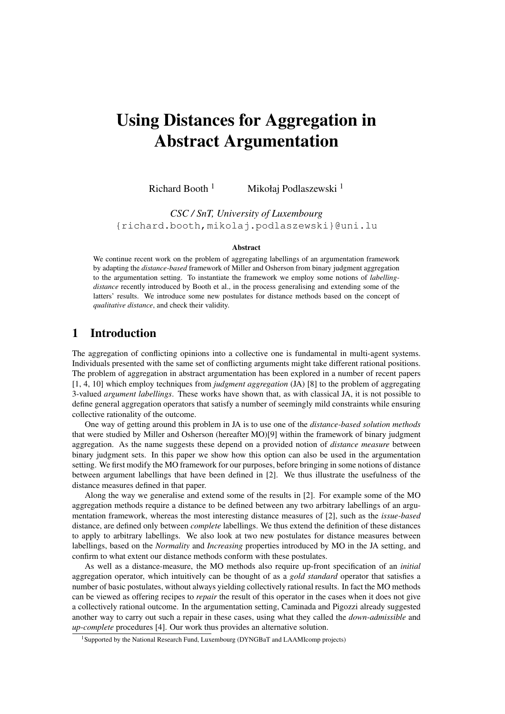# Using Distances for Aggregation in Abstract Argumentation

Richard Booth<sup>1</sup> Mikołaj Podlaszewski<sup>1</sup>

*CSC / SnT, University of Luxembourg* {richard.booth,mikolaj.podlaszewski}@uni.lu

#### Abstract

We continue recent work on the problem of aggregating labellings of an argumentation framework by adapting the *distance-based* framework of Miller and Osherson from binary judgment aggregation to the argumentation setting. To instantiate the framework we employ some notions of *labellingdistance* recently introduced by Booth et al., in the process generalising and extending some of the latters' results. We introduce some new postulates for distance methods based on the concept of *qualitative distance*, and check their validity.

# 1 Introduction

The aggregation of conflicting opinions into a collective one is fundamental in multi-agent systems. Individuals presented with the same set of conflicting arguments might take different rational positions. The problem of aggregation in abstract argumentation has been explored in a number of recent papers [1, 4, 10] which employ techniques from *judgment aggregation* (JA) [8] to the problem of aggregating 3-valued *argument labellings*. These works have shown that, as with classical JA, it is not possible to define general aggregation operators that satisfy a number of seemingly mild constraints while ensuring collective rationality of the outcome.

One way of getting around this problem in JA is to use one of the *distance-based solution methods* that were studied by Miller and Osherson (hereafter MO)[9] within the framework of binary judgment aggregation. As the name suggests these depend on a provided notion of *distance measure* between binary judgment sets. In this paper we show how this option can also be used in the argumentation setting. We first modify the MO framework for our purposes, before bringing in some notions of distance between argument labellings that have been defined in [2]. We thus illustrate the usefulness of the distance measures defined in that paper.

Along the way we generalise and extend some of the results in [2]. For example some of the MO aggregation methods require a distance to be defined between any two arbitrary labellings of an argumentation framework, whereas the most interesting distance measures of [2], such as the *issue-based* distance, are defined only between *complete* labellings. We thus extend the definition of these distances to apply to arbitrary labellings. We also look at two new postulates for distance measures between labellings, based on the *Normality* and *Increasing* properties introduced by MO in the JA setting, and confirm to what extent our distance methods conform with these postulates.

As well as a distance-measure, the MO methods also require up-front specification of an *initial* aggregation operator, which intuitively can be thought of as a *gold standard* operator that satisfies a number of basic postulates, without always yielding collectively rational results. In fact the MO methods can be viewed as offering recipes to *repair* the result of this operator in the cases when it does not give a collectively rational outcome. In the argumentation setting, Caminada and Pigozzi already suggested another way to carry out such a repair in these cases, using what they called the *down-admissible* and *up-complete* procedures [4]. Our work thus provides an alternative solution.

<sup>&</sup>lt;sup>1</sup>Supported by the National Research Fund, Luxembourg (DYNGBaT and LAAMIcomp projects)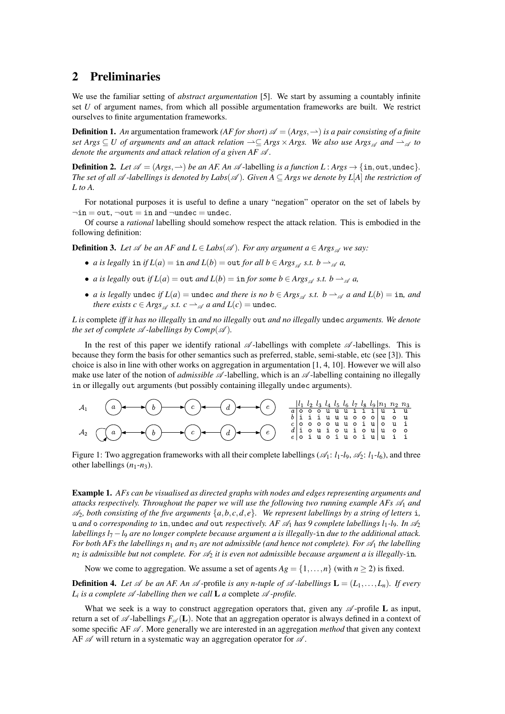## 2 Preliminaries

We use the familiar setting of *abstract argumentation* [5]. We start by assuming a countably infinite set *U* of argument names, from which all possible argumentation frameworks are built. We restrict ourselves to finite argumentation frameworks.

**Definition 1.** An argumentation framework *(AF for short)*  $\mathscr{A} = (Args, \rightarrow)$  *is a pair consisting of a finite set Args* ⊆ *U* of arguments and an attack relation  $\rightarrow$  ⊆ *Args* × *Args*. We also use Args<sub>∞</sub> and  $\rightarrow_{\mathscr{A}}$  to *denote the arguments and attack relation of a given AF* A *.*

**Definition 2.** Let  $\mathscr{A} = (Arg, \rightarrow)$  *be an AF. An*  $\mathscr{A}$ -labelling *is a function L* :  $Arg \rightarrow \{\text{in}, \text{out}, \text{undec}\}.$ *The set of all*  $\mathscr A$  *-labellings is denoted by Labs*( $\mathscr A$ ). Given  $A \subseteq \text{Arg } s$  we denote by L[A] the restriction of *L to A.*

For notational purposes it is useful to define a unary "negation" operator on the set of labels by  $\neg$ in = out,  $\neg$ out = in and  $\neg$ undec = undec.

Of course a *rational* labelling should somehow respect the attack relation. This is embodied in the following definition:

**Definition 3.** Let  $\mathscr A$  be an AF and  $L \in \text{Labs}(\mathscr A)$ . For any argument  $a \in \text{A}$ rgs  $\mathscr A$  we say:

- *a is legally* in *if*  $L(a) = \text{in}$  *and*  $L(b) = \text{out}$  *for all*  $b \in \text{A}$ *rgs*  $\mathscr A$  *s.t.*  $b \to \mathscr A$  *a*,
- *a is legally* out *if*  $L(a) = \text{out}$  *and*  $L(b) = \text{in}$  *for some*  $b \in \text{A}$ *rgs*<sub> $\alpha$ </sub> *s.t.*  $b \rightarrow_{\alpha} a$ ,
- *a is legally* undec *if*  $L(a) =$  undec *and there is no b*  $\in$  *Args*  $\leq$  *s.t. b*  $\rightarrow$   $\leq$  *a and*  $L(b) =$  in, *and there exists c*  $\in$  *Args*<sub> $\alpha$ </sub> *s.t. c*  $\rightarrow$   $\alpha$  *a and L*(*c*) = undec.

*L is* complete *iff it has no illegally* in *and no illegally* out *and no illegally* undec *arguments. We denote the set of complete*  $\mathscr A$ *-labellings by Comp* $(\mathscr A)$ *.* 

In the rest of this paper we identify rational  $\mathscr A$ -labellings with complete  $\mathscr A$ -labellings. This is because they form the basis for other semantics such as preferred, stable, semi-stable, etc (see [3]). This choice is also in line with other works on aggregation in argumentation [1, 4, 10]. However we will also make use later of the notion of *admissible*  $\mathscr A$ -labelling, which is an  $\mathscr A$ -labelling containing no illegally in or illegally out arguments (but possibly containing illegally undec arguments).

Figure 1: Two aggregation frameworks with all their complete labellings ( $\mathcal{A}_1$ :  $l_1$ - $l_9$ ,  $\mathcal{A}_2$ :  $l_1$ - $l_6$ ), and three other labellings  $(n_1-n_3)$ .

Example 1. *AFs can be visualised as directed graphs with nodes and edges representing arguments and attacks respectively. Throughout the paper we will use the following two running example AFs* A<sup>1</sup> *and*  $\mathscr{A}_2$ , both consisting of the five arguments  $\{a, b, c, d, e\}$ . We represent labellings by a string of letters i, u *and* o *corresponding to* in, undec *and* out *respectively.* AF  $\mathcal{A}_1$  *has* 9 *complete labellings*  $l_1$ -*l*<sub>9</sub>*. In*  $\mathcal{A}_2$ *labellings l*<sup>7</sup> −*l*<sup>9</sup> *are no longer complete because argument a is illegally-*in *due to the additional attack. For both AFs the labellings n<sub>1</sub> and n<sub>3</sub> are not admissible (and hence not complete). For*  $\mathscr{A}_1$  *the labelling*  $n_2$  *is admissible but not complete. For*  $A_2$  *it is even not admissible because argument a is illegally-in.* 

Now we come to aggregation. We assume a set of agents  $Ag = \{1, ..., n\}$  (with  $n \ge 2$ ) is fixed.

**Definition 4.** Let  $\mathscr A$  be an AF. An  $\mathscr A$ -profile is any n-tuple of  $\mathscr A$ -labellings  $\mathbf L = (L_1, \ldots, L_n)$ . If every  $L_i$  *is a complete*  $\mathscr A$  *-labelling then we call*  $L$  *a* complete  $\mathscr A$  *-profile.* 

What we seek is a way to construct aggregation operators that, given any  $\mathscr A$ -profile **L** as input, return a set of  $\mathscr A$ -labellings  $F_{\mathscr A}(L)$ . Note that an aggregation operator is always defined in a context of some specific AF A . More generally we are interested in an aggregation *method* that given any context AF  $\mathscr A$  will return in a systematic way an aggregation operator for  $\mathscr A$ .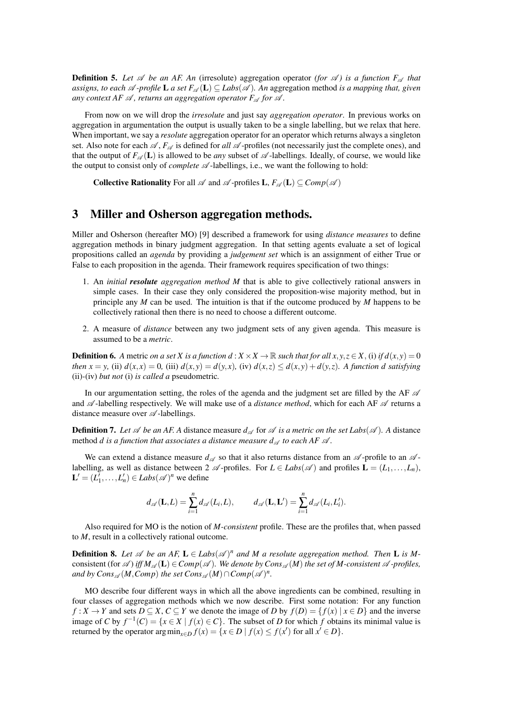**Definition 5.** Let  $\mathcal A$  be an AF. An (irresolute) aggregation operator (for  $\mathcal A$ ) is a function  $F_{\mathcal A}$  that *assigns, to each*  $\mathscr A$  *-profile*  $L$  *a set*  $F_{\mathscr A}(L) \subseteq Labs(\mathscr A)$ *. An* aggregation method *is a mapping that, given any context AF*  $\mathcal A$ *, returns an aggregation operator*  $F_{\mathcal A}$  *for*  $\mathcal A$ *.* 

From now on we will drop the *irresolute* and just say *aggregation operator*. In previous works on aggregation in argumentation the output is usually taken to be a single labelling, but we relax that here. When important, we say a *resolute* aggregation operator for an operator which returns always a singleton set. Also note for each  $\mathscr A$ ,  $F_{\mathscr A}$  is defined for *all*  $\mathscr A$ -profiles (not necessarily just the complete ones), and that the output of  $F_{\mathscr{A}}(L)$  is allowed to be *any* subset of  $\mathscr{A}$ -labellings. Ideally, of course, we would like the output to consist only of *complete*  $\mathscr A$ -labellings, i.e., we want the following to hold:

**Collective Rationality** For all  $\mathscr A$  and  $\mathscr A$ -profiles  $\mathbf L, F_{\mathscr A}(\mathbf L) \subseteq Comp(\mathscr A)$ 

## 3 Miller and Osherson aggregation methods.

Miller and Osherson (hereafter MO) [9] described a framework for using *distance measures* to define aggregation methods in binary judgment aggregation. In that setting agents evaluate a set of logical propositions called an *agenda* by providing a *judgement set* which is an assignment of either True or False to each proposition in the agenda. Their framework requires specification of two things:

- 1. An *initial resolute aggregation method M* that is able to give collectively rational answers in simple cases. In their case they only considered the proposition-wise majority method, but in principle any *M* can be used. The intuition is that if the outcome produced by *M* happens to be collectively rational then there is no need to choose a different outcome.
- 2. A measure of *distance* between any two judgment sets of any given agenda. This measure is assumed to be a *metric*.

**Definition 6.** A metric *on a set X is a function d* :  $X \times X \to \mathbb{R}$  *such that for all x*,  $y, z \in X$ , (i) *if d*(*x*, *y*) = 0 then  $x = y$ , (ii)  $d(x,x) = 0$ , (iii)  $d(x,y) = d(y,x)$ , (iv)  $d(x,z) \leq d(x,y) + d(y,z)$ . A function d satisfying (ii)*-*(iv) *but not* (i) *is called a* pseudometric*.*

In our argumentation setting, the roles of the agenda and the judgment set are filled by the AF  $\mathscr A$ and  $\mathscr A$ -labelling respectively. We will make use of a *distance method*, which for each AF  $\mathscr A$  returns a distance measure over  $\mathscr A$ -labellings.

**Definition 7.** Let  $\mathcal A$  be an AF. A distance measure  $d_{\mathcal A}$  for  $\mathcal A$  is a metric on the set Labs( $\mathcal A$ ). A distance method *d* is a function that associates a distance measure  $d_{\mathscr{A}}$  to each AF  $\mathscr{A}$ .

We can extend a distance measure  $d_{\mathscr{A}}$  so that it also returns distance from an  $\mathscr{A}$ -profile to an  $\mathscr{A}$ labelling, as well as distance between 2  $\mathscr A$ -profiles. For  $L \in \text{Labs}(\mathscr A)$  and profiles  $\mathbf L = (L_1, \ldots, L_n)$ ,  $\mathbf{L}' = (L'_1, \dots, L'_n) \in \text{Labs}(\mathscr{A})^n$  we define

$$
d_{\mathscr{A}}(\mathbf{L},L)=\sum_{i=1}^n d_{\mathscr{A}}(L_i,L),\qquad d_{\mathscr{A}}(\mathbf{L},\mathbf{L}')=\sum_{i=1}^n d_{\mathscr{A}}(L_i,L'_i).
$$

Also required for MO is the notion of *M-consistent* profile. These are the profiles that, when passed to *M*, result in a collectively rational outcome.

**Definition 8.** Let  $\mathscr A$  be an AF,  $L \in \text{Labs}(\mathscr A)^n$  and M a resolute aggregation method. Then L is Mconsistent (for  $\mathscr A$ ) *iff*  $M_{\mathscr A}(L) \in Comp(\mathscr A)$ . We denote by Cons $\mathscr A(M)$  the set of M-consistent  $\mathscr A$ -profiles,  $and \ by \ Cons_\mathscr{A}(M, Comp) \ the \ set \ Cons_\mathscr{A}(M) \cap Comp(\mathscr{A})^n.$ 

MO describe four different ways in which all the above ingredients can be combined, resulting in four classes of aggregation methods which we now describe. First some notation: For any function *f* : *X* → *Y* and sets  $D \subseteq X$ ,  $C \subseteq Y$  we denote the image of *D* by  $f(D) = \{f(x) | x \in D\}$  and the inverse image of *C* by  $f^{-1}(C) = \{x \in X \mid f(x) \in C\}$ . The subset of *D* for which *f* obtains its minimal value is returned by the operator  $\arg \min_{x \in D} f(x) = \{x \in D \mid f(x) \le f(x') \text{ for all } x' \in D\}.$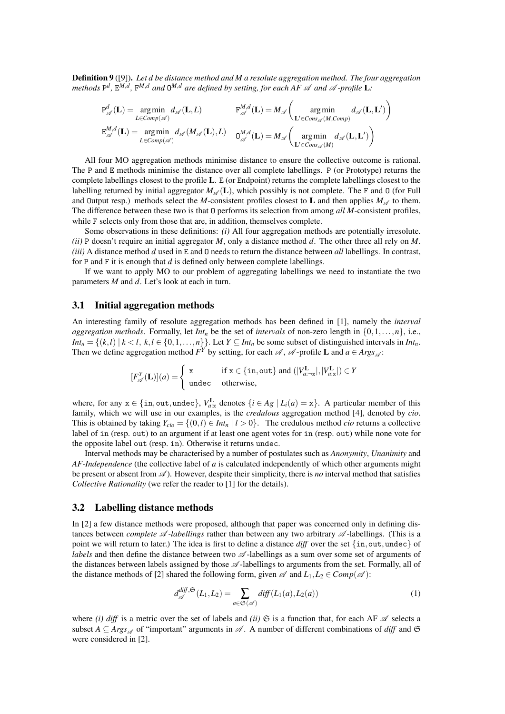Definition 9 ([9]). *Let d be distance method and M a resolute aggregation method. The four aggregation* methods  $P^d$ ,  $E^{M,d}$ ,  $F^{M,d}$  and  $Q^{M,d}$  are defined by setting, for each AF  $\mathscr A$  and  $\mathscr A$  -profile  $L$ :

$$
P_{\mathscr{A}}^d(\mathbf{L}) = \underset{\mathbf{L} \in Comp(\mathscr{A})}{\arg \min} d_{\mathscr{A}}(\mathbf{L}, L) \qquad \qquad F_{\mathscr{A}}^{M,d}(\mathbf{L}) = M_{\mathscr{A}} \left( \underset{\mathbf{L}' \in Cons_{\mathscr{A}}(M, Comp)}{arg \min} d_{\mathscr{A}}(\mathbf{L}, \mathbf{L}') \right)
$$

$$
E_{\mathscr{A}}^{M,d}(\mathbf{L}) = \underset{\mathbf{L} \in Comp(\mathscr{A})}{\arg \min} d_{\mathscr{A}}(M_{\mathscr{A}}(\mathbf{L}), L) \qquad O_{\mathscr{A}}^{M,d}(\mathbf{L}) = M_{\mathscr{A}} \left( \underset{\mathbf{L}' \in Cons_{\mathscr{A}}(M)}{arg \min} d_{\mathscr{A}}(\mathbf{L}, \mathbf{L}') \right)
$$

All four MO aggregation methods minimise distance to ensure the collective outcome is rational. The P and E methods minimise the distance over all complete labellings. P (or Prototype) returns the complete labellings closest to the profile L. E (or Endpoint) returns the complete labellings closest to the labelling returned by initial aggregator  $M_{\mathscr{A}}(L)$ , which possibly is not complete. The F and 0 (for Full and Output resp.) methods select the *M*-consistent profiles closest to **L** and then applies  $M_{\mathscr{A}}$  to them. The difference between these two is that O performs its selection from among *all M*-consistent profiles, while F selects only from those that are, in addition, themselves complete.

Some observations in these definitions: *(i)* All four aggregation methods are potentially irresolute. *(ii)* P doesn't require an initial aggregator *M*, only a distance method *d*. The other three all rely on *M*. *(iii)* A distance method *d* used in E and O needs to return the distance between *all* labellings. In contrast, for P and F it is enough that *d* is defined only between complete labellings.

If we want to apply MO to our problem of aggregating labellings we need to instantiate the two parameters *M* and *d*. Let's look at each in turn.

## 3.1 Initial aggregation methods

An interesting family of resolute aggregation methods has been defined in [1], namely the *interval aggregation methods.* Formally, let *Int<sub>n</sub>* be the set of *intervals* of non-zero length in  $\{0,1,\ldots,n\}$ , i.e., *Int<sub>n</sub>* = { $(k,l) | k < l, k, l \in \{0,1,\ldots,n\}$ }. Let *Y* ⊆ *Int<sub>n</sub>* be some subset of distinguished intervals in *Int<sub>n</sub>*. Then we define aggregation method  $F^Y$  by setting, for each  $\mathscr A$ ,  $\mathscr A$ -profile **L** and  $a \in \text{Args}_{\mathscr A}$ :

$$
[F_{\mathscr{A}}^Y(\mathbf{L})](a) = \begin{cases} x & \text{if } x \in \{\text{in}, \text{out}\} \text{ and } (|V_{a:\neg x}^{\mathbf{L}}|, |V_{a:\mathbf{x}}^{\mathbf{L}}|) \in Y \\ \text{undec} & \text{otherwise,} \end{cases}
$$

where, for any  $x \in \{\text{in}, \text{out}, \text{undec}\}, V_{a:x}^{\text{L}}$  denotes  $\{i \in Ag \mid L_i(a) = x\}.$  A particular member of this family, which we will use in our examples, is the *credulous* aggregation method [4], denoted by *cio*. This is obtained by taking  $Y_{cio} = \{(0, l) \in Int_n | l > 0\}$ . The credulous method *cio* returns a collective label of in (resp. out) to an argument if at least one agent votes for in (resp. out) while none vote for the opposite label out (resp. in). Otherwise it returns undec.

Interval methods may be characterised by a number of postulates such as *Anonymity*, *Unanimity* and *AF-Independence* (the collective label of *a* is calculated independently of which other arguments might be present or absent from A ). However, despite their simplicity, there is *no* interval method that satisfies *Collective Rationality* (we refer the reader to [1] for the details).

#### 3.2 Labelling distance methods

In [2] a few distance methods were proposed, although that paper was concerned only in defining distances between *complete*  $\mathscr A$ -*labellings* rather than between any two arbitrary  $\mathscr A$ -labellings. (This is a point we will return to later.) The idea is first to define a distance *diff* over the set {in, out, undec} of *labels* and then define the distance between two  $\mathscr A$ -labellings as a sum over some set of arguments of the distances between labels assigned by those  $\mathscr{A}$ -labellings to arguments from the set. Formally, all of the distance methods of [2] shared the following form, given  $\mathscr A$  and  $L_1, L_2 \in Comp(\mathscr A)$ :

$$
d_{\mathscr{A}}^{diff, \mathfrak{S}}(L_1, L_2) = \sum_{a \in \mathfrak{S}(\mathscr{A})} diff(L_1(a), L_2(a))
$$
\n(1)

where *(i) diff* is a metric over the set of labels and *(ii)*  $\Im$  is a function that, for each AF  $\mathscr A$  selects a subset  $A \subseteq \text{Arg}_\mathscr{A}$  of "important" arguments in  $\mathscr{A}$ . A number of different combinations of *diff* and  $\mathfrak{S}$ were considered in [2].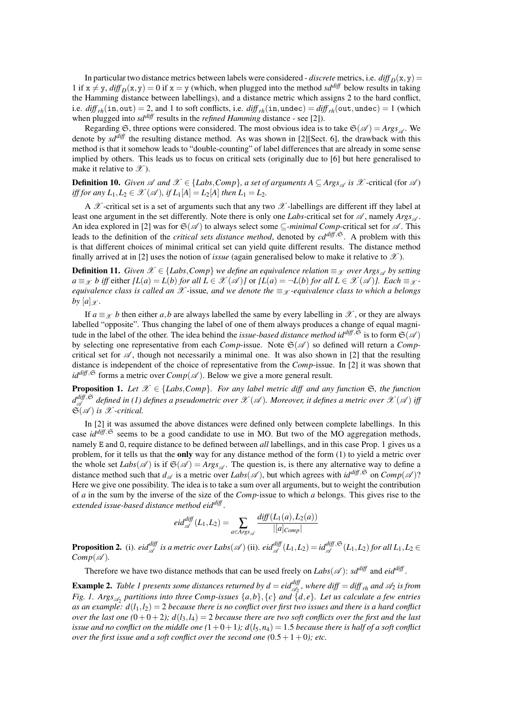In particular two distance metrics between labels were considered - *discrete* metrics, i.e.  $diff_D(x, y)$  = 1 if  $x \neq y$ ,  $diff_D(x, y) = 0$  if  $x = y$  (which, when plugged into the method *sd<sup>diff</sup>* below results in taking the Hamming distance between labellings), and a distance metric which assigns 2 to the hard conflict, i.e.  $diff_{rh}(in,out) = 2$ , and 1 to soft conflicts, i.e.  $diff_{rh}(in,undec) = diff_{rh}(out,undec) = 1$  (which when plugged into *sd<sup>diff</sup>* results in the *refined Hamming* distance - see [2]).

Regarding  $\mathfrak{S}$ , three options were considered. The most obvious idea is to take  $\mathfrak{S}(\mathscr{A}) = \text{Arg}_{\mathscr{A}}$ . We denote by *sddiff* the resulting distance method. As was shown in [2][Sect. 6], the drawback with this method is that it somehow leads to "double-counting" of label differences that are already in some sense implied by others. This leads us to focus on critical sets (originally due to [6] but here generalised to make it relative to  $\mathscr{X}$ ).

**Definition 10.** *Given*  $\mathscr A$  *and*  $\mathscr X$  ∈ {*Labs*, *Comp*}, *a set of arguments*  $A \subseteq \text{Args}_{\mathscr A}$  *is*  $\mathscr X$ -critical (for  $\mathscr A$ ) *iff for any L*<sub>1</sub>, *L*<sub>2</sub>  $\in \mathcal{X}(\mathcal{A})$ *, if L*<sub>1</sub>[*A*]  $= L_2[A]$  *then L*<sub>1</sub>  $= L_2$ *.* 

A  $\mathcal X$ -critical set is a set of arguments such that any two  $\mathcal X$ -labellings are different iff they label at least one argument in the set differently. Note there is only one *Labs*-critical set for  $\mathscr A$ , namely  $\mathscr A$ *rgs*<sub> $\mathscr A$ </sub>. An idea explored in [2] was for  $\mathfrak{S}(\mathcal{A})$  to always select some  $\subseteq$ *-minimal Comp*-critical set for  $\mathcal{A}$ . This leads to the definition of the *critical sets distance method*, denoted by  $c d^{diff, \mathfrak{S}}$ . A problem with this is that different choices of minimal critical set can yield quite different results. The distance method finally arrived at in [2] uses the notion of *issue* (again generalised below to make it relative to  $\mathcal{X}$ ).

**Definition 11.** *Given*  $\mathcal{X} \in \{Labs, Comp\}$  *we define an equivalence relation*  $\equiv_{\mathcal{X}}$  *over Args*<sub> $\alpha$ </sub> *by setting a* ≡ *x b* iff either  $\vert L(a) = L(b)$  *for all*  $L \in \mathcal{X}(\mathcal{A})$  *or*  $\vert L(a) = \neg L(b)$  *for all*  $L \in \mathcal{X}(\mathcal{A})$ *]. Each* ≡ *x equivalence class is called an*  $\mathcal X$  -issue, and we denote the  $\equiv_{\mathcal X}$  *-equivalence class to which a belongs by*  $[a]_{\mathscr{X}}$ *.* 

If  $a \equiv \chi$  *b* then either *a*,*b* are always labelled the same by every labelling in X, or they are always labelled "opposite". Thus changing the label of one of them always produces a change of equal magnitude in the label of the other. The idea behind the *issue-based distance method id*<sup> $diff, \mathfrak{S}$  is to form  $\mathfrak{S}(\mathcal{A})$ </sup> by selecting one representative from each *Comp*-issue. Note  $\mathfrak{S}(\mathcal{A})$  so defined will return a *Comp*critical set for  $\mathscr A$ , though not necessarily a minimal one. It was also shown in [2] that the resulting distance is independent of the choice of representative from the *Comp*-issue. In [2] it was shown that  $id^{diff, \mathfrak{S}}$  forms a metric over  $Comp(\mathcal{A})$ . Below we give a more general result.

**Proposition 1.** *Let*  $\mathcal{X} \in \{Labs, Comp\}$ *. For any label metric diff and any function*  $\mathfrak{S}$ *, the function*  $d_{\mathscr{A}}^{diff, \mathfrak{S}}$ A *defined in (1) defines a pseudometric over* X (A )*. Moreover, it defines a metric over* X (A ) *iff*  $\widetilde{\mathfrak{S}}(\mathcal{A})$  is  $\mathcal{X}$ -critical.

In [2] it was assumed the above distances were defined only between complete labellings. In this case *id*<sup>diff</sup>,<sup> $\Im$ </sup> seems to be a good candidate to use in MO. But two of the MO aggregation methods, namely E and O, require distance to be defined between *all* labellings, and in this case Prop. 1 gives us a problem, for it tells us that the **only** way for any distance method of the form (1) to yield a metric over the whole set *Labs*( $\mathscr A$ ) is if  $\mathfrak{S}(\mathscr A) = \text{Args}_{\mathscr A}$ . The question is, is there any alternative way to define a distance method such that  $d_{\mathscr{A}}$  is a metric over *Labs*( $\mathscr{A}$ ), but which agrees with  $id^{diff, \mathfrak{S}}$  on  $Comp(\mathscr{A})$ ? Here we give one possibility. The idea is to take a sum over all arguments, but to weight the contribution of *a* in the sum by the inverse of the size of the *Comp*-issue to which *a* belongs. This gives rise to the *extended issue-based distance method eiddiff* .

$$
eid_{\mathscr{A}}^{diff}(L_1,L_2) = \sum_{a \in \text{Args}_{\mathscr{A}}} \frac{diff(L_1(a), L_2(a))}{|[a]_{Comp}|}
$$

**Proposition 2.** (i).  $eid_{\mathscr{A}}^{diff}$  is a metric over Labs $(\mathscr{A})$  (ii).  $eid_{\mathscr{A}}^{diff}(L_1,L_2) = id_{\mathscr{A}}^{diff,\mathfrak{S}}(L_1,L_2)$  for all  $L_1,L_2 \in$  $Comp(\mathscr{A})$ .

Therefore we have two distance methods that can be used freely on  $Labs(\mathscr{A})$ :  $sd^{diff}$  and  $eid^{diff}$ .

**Example 2.** Table 1 presents some distances returned by  $d = ei d_{\mathscr{A}_2}^{diff}$ , where diff  $= diff_{rh}$  and  $\mathscr{A}_2$  is from *Fig. 1. Args*<sub> $\mathscr{A}_2$ </sub> partitions into three Comp-issues  $\{a,b\}$ ,  $\{c\}$  and  $\{d,e\}$ . Let us calculate a few entries *as an example:*  $d(l_1, l_2) = 2$  *because there is no conflict over first two issues and there is a hard conflict over the last one*  $(0+0+2)$ ;  $d(l_3, l_4) = 2$  *because there are two soft conflicts over the first and the last issue and no conflict on the middle one*  $(1+0+1)$ ;  $d(l_5,n_4) = 1.5$  *because there is half of a soft conflict over the first issue and a soft conflict over the second one*  $(0.5+1+0)$ *; etc.*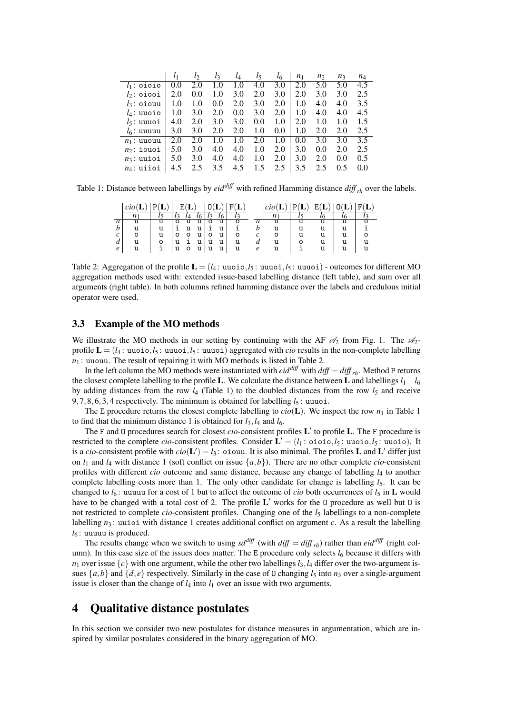|               | l <sub>1</sub> | lэ  | $l_3$ | $l_4$ | l5  | l6  | n <sub>1</sub> | n <sub>2</sub> | $n_3$ | $n_4$ |
|---------------|----------------|-----|-------|-------|-----|-----|----------------|----------------|-------|-------|
| $l_1$ : oioio | 0.0            | 2.0 | 1.0   | 1.0   | 4.0 | 3.0 | 2.0            | 5.0            | 5.0   | 4.5   |
| $l_2$ : oiooi | 2.0            | 0.0 | 1.0   | 3.0   | 2.0 | 3.0 | 2.0            | 3.0            | 3.0   | 2.5   |
| $l_3$ : oiouu | 1.0            | 1.0 | 0.0   | 2.0   | 3.0 | 2.0 | 1.0            | 4.0            | 4.0   | 3.5   |
| $l_4$ : uuoio | 1.0            | 3.0 | 2.0   | 0.0   | 3.0 | 2.0 | 1.0            | 4.0            | 4.0   | 4.5   |
| $l_5$ : uuuoi | 4.0            | 2.0 | 3.0   | 3.0   | 0.0 | 1.0 | 2.0            | 1.0            | 1.0   | 1.5   |
| $l_6$ : uuuuu | 3.0            | 3.0 | 2.0   | 2.0   | 1.0 | 0.0 | 1.0            | 2.0            | 2.0   | 2.5   |
| $n_1$ : uuouu | 2.0            | 2.0 | 1.0   | 1.0   | 2.0 | 1.0 | 0.0            | 3.0            | 3.0   | 3.5   |
| $n2$ : iouoi  | 5.0            | 3.0 | 4.0   | 4.0   | 1.0 | 2.0 | 3.0            | 0.0            | 2.0   | 2.5   |
| $n_3$ : uuioi | 5.0            | 3.0 | 4.0   | 4.0   | 1.0 | 2.0 | 3.0            | 2.0            | 0.0   | 0.5   |
| $n_4$ : uiioi | 4.5            | 2.5 | 3.5   | 4.5   | 1.5 | 2.5 | 3.5            | 2.5            | 0.5   | 0.0   |

Table 1: Distance between labellings by  $eid^{diff}$  with refined Hamming distance  $diff_{rh}$  over the labels.

|   | $ci$ $o$ $($ |   |   |    |   |   |   |   | $ci$ ol |   | Ε | F(L) |
|---|--------------|---|---|----|---|---|---|---|---------|---|---|------|
|   |              |   |   |    |   |   |   |   |         |   |   |      |
| a |              |   |   |    |   | u |   | a |         | u |   |      |
|   | u            | u |   | וו |   | u |   |   |         | u |   |      |
| c | o            | u |   | 11 |   | u | o |   |         | u |   |      |
| a | u            | ο |   |    |   | u |   | а |         |   |   |      |
| e | u            |   | O | u  | u | u |   | e |         |   |   |      |

Table 2: Aggregation of the profile  $\mathbf{L} = (l_4 : \text{uuoi}, l_5 : \text{uuui}, l_5 : \text{uuui})$  - outcomes for different MO aggregation methods used with: extended issue-based labelling distance (left table), and sum over all arguments (right table). In both columns refined hamming distance over the labels and credulous initial operator were used.

## 3.3 Example of the MO methods

We illustrate the MO methods in our setting by continuing with the AF  $\mathcal{A}_2$  from Fig. 1. The  $\mathcal{A}_2$ profile  $\mathbf{L} = (l_4 : \text{uuoio}, l_5 : \text{uuuoi}, l_5 : \text{uuuoi})$  aggregated with *cio* results in the non-complete labelling  $n_1$ : uuouu. The result of repairing it with MO methods is listed in Table 2.

In the left column the MO methods were instantiated with *eid*<sup>*diff*</sup> with *diff* = *diff*  $r<sub>th</sub>$ . Method P returns the closest complete labelling to the profile **L**. We calculate the distance between **L** and labellings  $l_1 - l_6$ by adding distances from the row *l*<sub>4</sub> (Table 1) to the doubled distances from the row *l*<sub>5</sub> and receive 9,7,8,6,3,4 respectively. The minimum is obtained for labelling  $l_5$ : uuuoi.

The E procedure returns the closest complete labelling to  $\text{cio}(\mathbf{L})$ . We inspect the row  $n_1$  in Table 1 to find that the minimum distance 1 is obtained for  $l_3$ ,  $l_4$  and  $l_6$ .

The F and 0 procedures search for closest *cio*-consistent profiles L' to profile L. The F procedure is restricted to the complete *cio*-consistent profiles. Consider  $\mathbf{L}' = (l_1 : \text{oio.} \, l_5 : \text{uuoio.} \, l_5 : \text{uuoio.} \,$  It is a *cio*-consistent profile with  $cio(L') = l_3$ : oiouu. It is also minimal. The profiles L and L' differ just on *l*<sup>1</sup> and *l*<sup>4</sup> with distance 1 (soft conflict on issue {*a*,*b*}). There are no other complete *cio*-consistent profiles with different *cio* outcome and same distance, because any change of labelling *l*<sup>4</sup> to another complete labelling costs more than 1. The only other candidate for change is labelling  $l_5$ . It can be changed to  $l_6$ : uuuuu for a cost of 1 but to affect the outcome of *cio* both occurrences of  $l_5$  in **L** would have to be changed with a total cost of 2. The profile  $L'$  works for the 0 procedure as well but 0 is not restricted to complete *cio*-consistent profiles. Changing one of the  $l_5$  labellings to a non-complete labelling  $n_3$ : uuioi with distance 1 creates additional conflict on argument *c*. As a result the labelling *l*<sup>6</sup> : uuuuu is produced.

The results change when we switch to using  $sd^{diff}$  (with  $diff = diff_{rh}$ ) rather than  $eid^{diff}$  (right column). In this case size of the issues does matter. The E procedure only selects  $l_6$  because it differs with  $n_1$  over issue  $\{c\}$  with one argument, while the other two labellings  $l_3$ ,  $l_4$  differ over the two-argument issues  $\{a,b\}$  and  $\{d,e\}$  respectively. Similarly in the case of 0 changing  $l_5$  into  $n_3$  over a single-argument issue is closer than the change of  $l_4$  into  $l_1$  over an issue with two arguments.

## 4 Qualitative distance postulates

In this section we consider two new postulates for distance measures in argumentation, which are inspired by similar postulates considered in the binary aggregation of MO.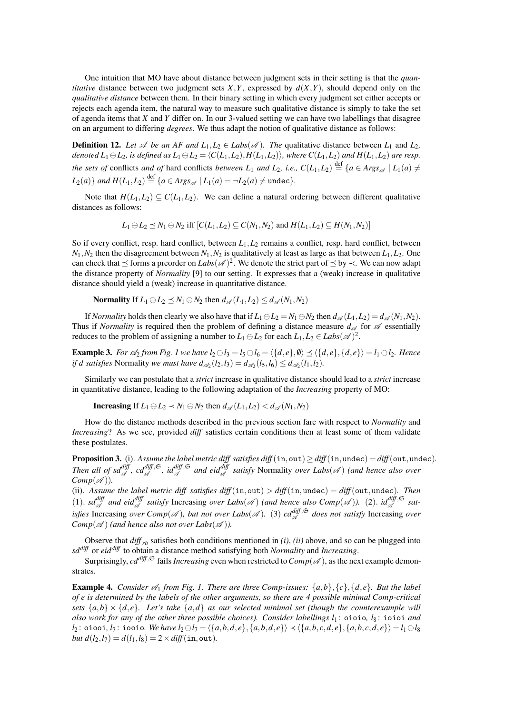One intuition that MO have about distance between judgment sets in their setting is that the *quantitative* distance between two judgment sets  $X, Y$ , expressed by  $d(X, Y)$ , should depend only on the *qualitative distance* between them. In their binary setting in which every judgment set either accepts or rejects each agenda item, the natural way to measure such qualitative distance is simply to take the set of agenda items that *X* and *Y* differ on. In our 3-valued setting we can have two labellings that disagree on an argument to differing *degrees*. We thus adapt the notion of qualitative distance as follows:

**Definition 12.** Let  $\mathscr A$  be an AF and  $L_1, L_2 \in \text{Labs}(\mathscr A)$ . The qualitative distance between  $L_1$  and  $L_2$ , *denoted*  $L_1 \ominus L_2$ *, is defined as*  $L_1 \ominus L_2 = \langle C(L_1, L_2), H(L_1, L_2) \rangle$ *, where*  $C(L_1, L_2)$  *and*  $H(L_1, L_2)$  *are resp. the sets of* conflicts *and of* hard conflicts *between*  $L_1$  *and*  $L_2$ *, i.e.,*  $C(L_1, L_2) \stackrel{\text{def}}{=} \{a \in \text{A} \text{rgs}_{\mathscr{A}} \mid L_1(a) \neq 0\}$  $L_2(a)$ } *and*  $H(L_1, L_2) \stackrel{\text{def}}{=} \{a \in \text{A} \text{rgs}_{\mathscr{A}} \mid L_1(a) = \neg L_2(a) \neq \text{undec}\}.$ 

Note that  $H(L_1, L_2) \subseteq C(L_1, L_2)$ . We can define a natural ordering between different qualitative distances as follows:

$$
L_1 \ominus L_2 \preceq N_1 \ominus N_2 \text{ iff } [C(L_1, L_2) \subseteq C(N_1, N_2) \text{ and } H(L_1, L_2) \subseteq H(N_1, N_2)]
$$

So if every conflict, resp. hard conflict, between  $L_1, L_2$  remains a conflict, resp. hard conflict, between  $N_1$ ,  $N_2$  then the disagreement between  $N_1$ ,  $N_2$  is qualitatively at least as large as that between  $L_1$ ,  $L_2$ . One can check that  $\preceq$  forms a preorder on *Labs*( $\mathscr{A})^2$ . We denote the strict part of  $\preceq$  by  $\prec$ . We can now adapt the distance property of *Normality* [9] to our setting. It expresses that a (weak) increase in qualitative distance should yield a (weak) increase in quantitative distance.

Normality If  $L_1 \ominus L_2 \preceq N_1 \ominus N_2$  then  $d_{\mathscr{A}}(L_1, L_2) \leq d_{\mathscr{A}}(N_1, N_2)$ 

If *Normality* holds then clearly we also have that if  $L_1 \ominus L_2 = N_1 \ominus N_2$  then  $d_{\mathscr{A}}(L_1, L_2) = d_{\mathscr{A}}(N_1, N_2)$ . Thus if *Normality* is required then the problem of defining a distance measure  $d_{\mathscr{A}}$  for  $\mathscr A$  essentially reduces to the problem of assigning a number to  $L_1 \ominus L_2$  for each  $L_1, L_2 \in \text{Labs}(\mathscr{A})^2$ .

**Example 3.** For  $\mathcal{A}_2$  from Fig. 1 we have  $l_2 \ominus l_3 = l_5 \ominus l_6 = \langle \{d, e\}, \emptyset \rangle \preceq \langle \{d, e\}, \{d, e\} \rangle = l_1 \ominus l_2$ . Hence *if d satisfies* Normality *we must have*  $d_{\mathscr{A}_2}(l_2, l_3) = d_{\mathscr{A}_2}(l_5, l_6) \leq d_{\mathscr{A}_2}(l_1, l_2)$ *.* 

Similarly we can postulate that a *strict* increase in qualitative distance should lead to a *strict* increase in quantitative distance, leading to the following adaptation of the *Increasing* property of MO:

**Increasing** If  $L_1 \ominus L_2 \prec N_1 \ominus N_2$  then  $d_{\mathcal{A}}(L_1, L_2) < d_{\mathcal{A}}(N_1, N_2)$ 

How do the distance methods described in the previous section fare with respect to *Normality* and *Increasing*? As we see, provided *diff* satisfies certain conditions then at least some of them validate these postulates.

Proposition 3. (i). Assume the label metric diff satisfies  $diff(\text{in}, \text{out}) \geq diff(\text{in}, \text{undec}) = diff(\text{out}, \text{undec})$ . Then all of sd<sup>diff</sup>,  $cd_{\mathscr{A}}^{diff, \mathfrak{S}}$ ,  $id_{\mathscr{A}}^{diff, \mathfrak{S}}$  and eid $_{\mathscr{A}}^{diff}$  satisfy Normality *over Labs*( $\mathscr{A}$ ) (and hence also over  $Comp(\mathscr{A})$ *)*.

(ii). *Assume the label metric diff satisfies diff*(in, out)  $>$  *diff*(in, undec) = *diff*(out, undec). Then (1).  $sd_{\mathcal{A}}^{\text{diff}}$  and eid $_{\mathcal{A}}^{\text{diff}}$  satisfy Increasing over Labs( $\mathcal{A}$ ) (and hence also  $Comp(\mathcal{A})$ ). (2).  $id_{\mathcal{A}}^{\text{diff},\mathfrak{S}}$  sat*isfies* Increasing *over Comp*( $\mathscr A$ ), but not *over Labs*( $\mathscr A$ ). (3)  $cd_{\mathscr A}^{diff,\mathfrak{S}}$  does not satisfy Increasing *over Comp* $(\mathcal{A})$  (and hence also not over Labs $(\mathcal{A})$ ).

Observe that *diff rh* satisfies both conditions mentioned in *(i)*, *(ii)* above, and so can be plugged into *sddiff* or *eiddiff* to obtain a distance method satisfying both *Normality* and *Increasing*.

Surprisingly,  $cd^{diff, \mathfrak{S}}$  fails *Increasing* even when restricted to  $Comp(\mathcal{A})$ , as the next example demonstrates.

**Example 4.** *Consider*  $\mathscr{A}_1$  *from Fig. 1. There are three Comp-issues:*  $\{a,b\},\{c\},\{d,e\}$ *. But the label of e is determined by the labels of the other arguments, so there are 4 possible minimal Comp-critical sets*  $\{a,b\} \times \{d,e\}$ . Let's take  $\{a,d\}$  as our selected minimal set (though the counterexample will *also work for any of the other three possible choices). Consider labellings l*<sup>1</sup> : oioio*, l*<sup>8</sup> : ioioi *and*  $l_2$ : oiooi,  $l_7$ : iooio. We have  $l_2 \ominus l_7 = \langle \{a,b,d,e\}, \{a,b,d,e\} \rangle \prec \langle \{a,b,c,d,e\}, \{a,b,c,d,e\} \rangle = l_1 \ominus l_8$ *but d*( $l_2$ , $l_7$ ) =  $d(l_1, l_8)$  = 2 × *diff*(in, out).